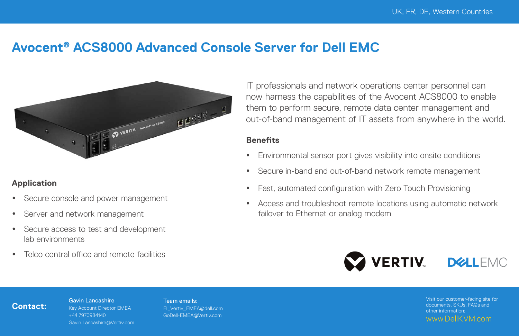## **Avocent® ACS8000 Advanced Console Server for Dell EMC**



#### **Application**

- Secure console and power management
- Server and network management
- Secure access to test and development lab environments
- Telco central office and remote facilities

Gavin Lancashire

IT professionals and network operations center personnel can now harness the capabilities of the Avocent ACS8000 to enable them to perform secure, remote data center management and out-of-band management of IT assets from anywhere in the world.

#### **Benefits**

- Environmental sensor port gives visibility into onsite conditions
- Secure in-band and out-of-band network remote management
- Fast, automated configuration with Zero Touch Provisioning
- Access and troubleshoot remote locations using automatic network failover to Ethernet or analog modem



### **Contact:**

Key Account Director EMEA +44 7970984140 Gavin.Lancashire@Vertiv.com Team emails: EI\_Vertiv\_EMEA@dell.com GoDell-EMEA@Vertiv.com

Visit our customer-facing site for documents, SKUs, FAQs and other information: www.DellKVM.com